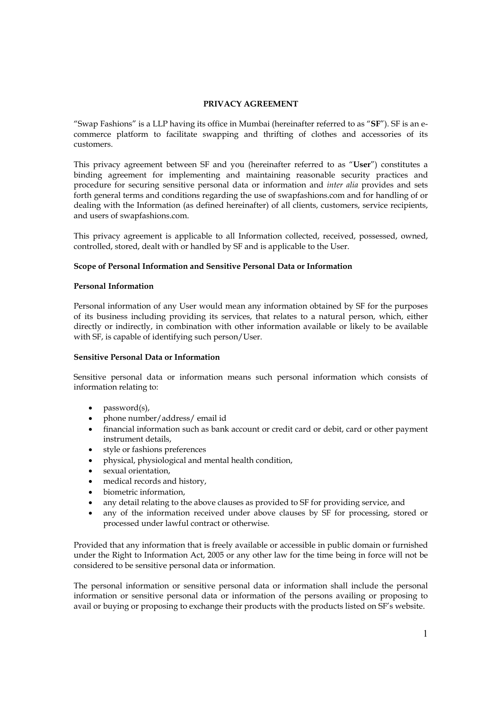# **PRIVACY AGREEMENT**

"Swap Fashions" is a LLP having its office in Mumbai (hereinafter referred to as "**SF**"). SF is an ecommerce platform to facilitate swapping and thrifting of clothes and accessories of its customers.

This privacy agreement between SF and you (hereinafter referred to as "**User**") constitutes a binding agreement for implementing and maintaining reasonable security practices and procedure for securing sensitive personal data or information and *inter alia* provides and sets forth general terms and conditions regarding the use of swapfashions.com and for handling of or dealing with the Information (as defined hereinafter) of all clients, customers, service recipients, and users of swapfashions.com.

This privacy agreement is applicable to all Information collected, received, possessed, owned, controlled, stored, dealt with or handled by SF and is applicable to the User.

## **Scope of Personal Information and Sensitive Personal Data or Information**

## **Personal Information**

Personal information of any User would mean any information obtained by SF for the purposes of its business including providing its services, that relates to a natural person, which, either directly or indirectly, in combination with other information available or likely to be available with SF, is capable of identifying such person/User.

## **Sensitive Personal Data or Information**

Sensitive personal data or information means such personal information which consists of information relating to:

- password(s),
- phone number/address/ email id
- financial information such as bank account or credit card or debit, card or other payment instrument details,
- style or fashions preferences
- physical, physiological and mental health condition,
- sexual orientation,
- medical records and history,
- biometric information,
- any detail relating to the above clauses as provided to SF for providing service, and
- any of the information received under above clauses by SF for processing, stored or processed under lawful contract or otherwise.

Provided that any information that is freely available or accessible in public domain or furnished under the Right to Information Act, 2005 or any other law for the time being in force will not be considered to be sensitive personal data or information.

The personal information or sensitive personal data or information shall include the personal information or sensitive personal data or information of the persons availing or proposing to avail or buying or proposing to exchange their products with the products listed on SF's website.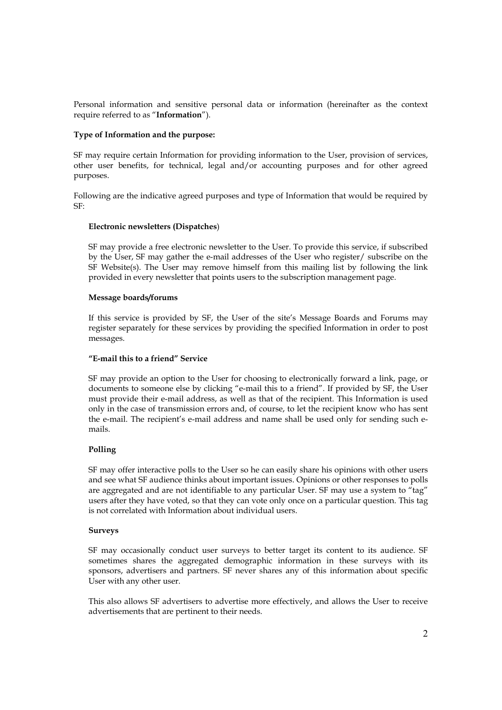Personal information and sensitive personal data or information (hereinafter as the context require referred to as "**Information**").

## **Type of Information and the purpose:**

SF may require certain Information for providing information to the User, provision of services, other user benefits, for technical, legal and/or accounting purposes and for other agreed purposes.

Following are the indicative agreed purposes and type of Information that would be required by SF:

# **Electronic newsletters (Dispatches**)

SF may provide a free electronic newsletter to the User. To provide this service, if subscribed by the User, SF may gather the e-mail addresses of the User who register/ subscribe on the SF Website(s). The User may remove himself from this mailing list by following the link provided in every newsletter that points users to the subscription management page.

## **Message boards/forums**

If this service is provided by SF, the User of the site's Message Boards and Forums may register separately for these services by providing the specified Information in order to post messages.

# **"E-mail this to a friend" Service**

SF may provide an option to the User for choosing to electronically forward a link, page, or documents to someone else by clicking "e-mail this to a friend". If provided by SF, the User must provide their e-mail address, as well as that of the recipient. This Information is used only in the case of transmission errors and, of course, to let the recipient know who has sent the e-mail. The recipient's e-mail address and name shall be used only for sending such emails.

# **Polling**

SF may offer interactive polls to the User so he can easily share his opinions with other users and see what SF audience thinks about important issues. Opinions or other responses to polls are aggregated and are not identifiable to any particular User. SF may use a system to "tag" users after they have voted, so that they can vote only once on a particular question. This tag is not correlated with Information about individual users.

## **Surveys**

SF may occasionally conduct user surveys to better target its content to its audience. SF sometimes shares the aggregated demographic information in these surveys with its sponsors, advertisers and partners. SF never shares any of this information about specific User with any other user.

This also allows SF advertisers to advertise more effectively, and allows the User to receive advertisements that are pertinent to their needs.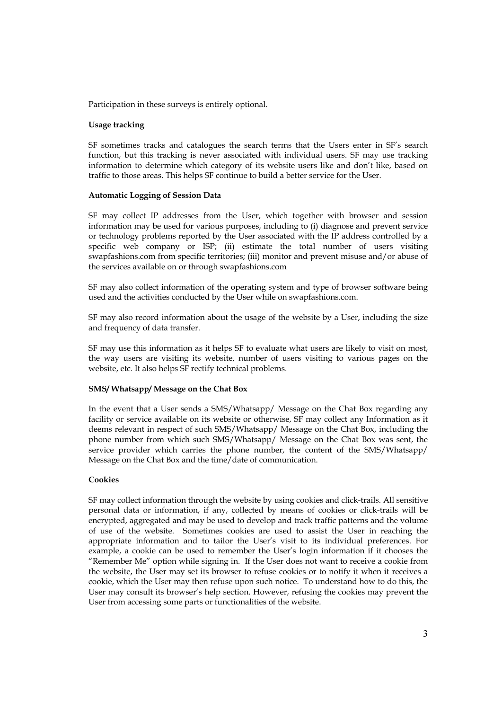Participation in these surveys is entirely optional.

### **Usage tracking**

SF sometimes tracks and catalogues the search terms that the Users enter in SF's search function, but this tracking is never associated with individual users. SF may use tracking information to determine which category of its website users like and don't like, based on traffic to those areas. This helps SF continue to build a better service for the User.

### **Automatic Logging of Session Data**

SF may collect IP addresses from the User, which together with browser and session information may be used for various purposes, including to (i) diagnose and prevent service or technology problems reported by the User associated with the IP address controlled by a specific web company or ISP; (ii) estimate the total number of users visiting swapfashions.com from specific territories; (iii) monitor and prevent misuse and/or abuse of the services available on or through swapfashions.com

SF may also collect information of the operating system and type of browser software being used and the activities conducted by the User while on swapfashions.com.

SF may also record information about the usage of the website by a User, including the size and frequency of data transfer.

SF may use this information as it helps SF to evaluate what users are likely to visit on most, the way users are visiting its website, number of users visiting to various pages on the website, etc. It also helps SF rectify technical problems.

#### **SMS/ Whatsapp/ Message on the Chat Box**

In the event that a User sends a SMS/Whatsapp/ Message on the Chat Box regarding any facility or service available on its website or otherwise, SF may collect any Information as it deems relevant in respect of such SMS/Whatsapp/ Message on the Chat Box, including the phone number from which such SMS/Whatsapp/ Message on the Chat Box was sent, the service provider which carries the phone number, the content of the SMS/Whatsapp/ Message on the Chat Box and the time/date of communication.

## **Cookies**

SF may collect information through the website by using cookies and click-trails. All sensitive personal data or information, if any, collected by means of cookies or click-trails will be encrypted, aggregated and may be used to develop and track traffic patterns and the volume of use of the website. Sometimes cookies are used to assist the User in reaching the appropriate information and to tailor the User's visit to its individual preferences. For example, a cookie can be used to remember the User's login information if it chooses the "Remember Me" option while signing in. If the User does not want to receive a cookie from the website, the User may set its browser to refuse cookies or to notify it when it receives a cookie, which the User may then refuse upon such notice. To understand how to do this, the User may consult its browser's help section. However, refusing the cookies may prevent the User from accessing some parts or functionalities of the website.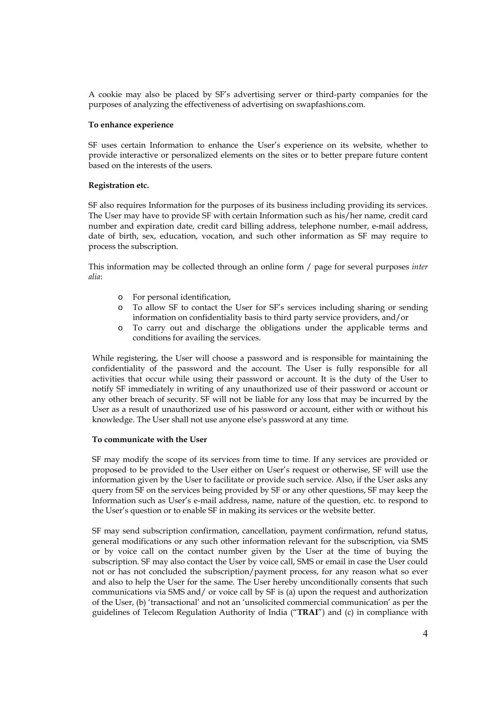A cookie may also be placed by SF's advertising server or third-party companies for the purposes of analyzing the effectiveness of advertising on swapfashions.com.

#### **To enhance experience**

SF uses certain Information to enhance the User's experience on its website, whether to provide interactive or personalized elements on the sites or to better prepare future content based on the interests of the users.

### **Registration etc.**

SF also requires Information for the purposes of its business including providing its services. The User may have to provide SF with certain Information such as his/her name, credit card number and expiration date, credit card billing address, telephone number, e-mail address, date of birth, sex, education, vocation, and such other information as SF may require to process the subscription.

This information may be collected through an online form / page for several purposes *inter alia*:

- o For personal identification,
- o To allow SF to contact the User for SF's services including sharing or sending information on confidentiality basis to third party service providers, and/or
- o To carry out and discharge the obligations under the applicable terms and conditions for availing the services.

While registering, the User will choose a password and is responsible for maintaining the confidentiality of the password and the account. The User is fully responsible for all activities that occur while using their password or account. It is the duty of the User to notify SF immediately in writing of any unauthorized use of their password or account or any other breach of security. SF will not be liable for any loss that may be incurred by the User as a result of unauthorized use of his password or account, either with or without his knowledge. The User shall not use anyone else's password at any time.

#### **To communicate with the User**

SF may modify the scope of its services from time to time. If any services are provided or proposed to be provided to the User either on User's request or otherwise, SF will use the information given by the User to facilitate or provide such service. Also, if the User asks any query from SF on the services being provided by SF or any other questions, SF may keep the Information such as User's e-mail address, name, nature of the question, etc. to respond to the User's question or to enable SF in making its services or the website better.

SF may send subscription confirmation, cancellation, payment confirmation, refund status, general modifications or any such other information relevant for the subscription, via SMS or by voice call on the contact number given by the User at the time of buying the subscription. SF may also contact the User by voice call, SMS or email in case the User could not or has not concluded the subscription/payment process, for any reason what so ever and also to help the User for the same. The User hereby unconditionally consents that such communications via SMS and/ or voice call by SF is (a) upon the request and authorization of the User, (b) 'transactional' and not an 'unsolicited commercial communication' as per the guidelines of Telecom Regulation Authority of India ("**TRAI**") and (c) in compliance with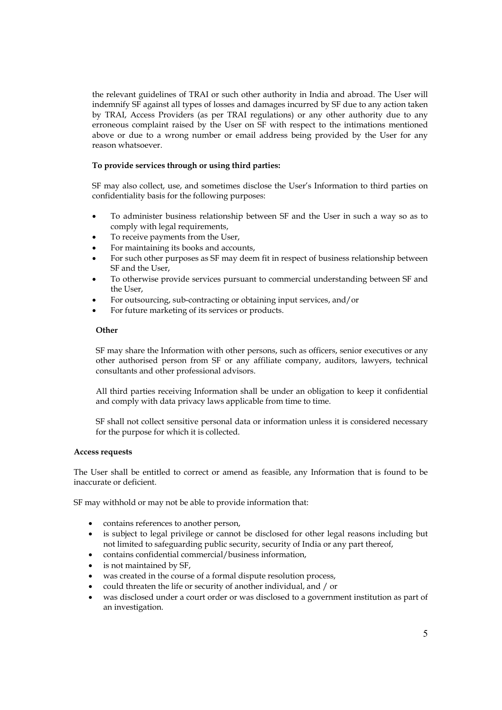the relevant guidelines of TRAI or such other authority in India and abroad. The User will indemnify SF against all types of losses and damages incurred by SF due to any action taken by TRAI, Access Providers (as per TRAI regulations) or any other authority due to any erroneous complaint raised by the User on SF with respect to the intimations mentioned above or due to a wrong number or email address being provided by the User for any reason whatsoever.

# **To provide services through or using third parties:**

SF may also collect, use, and sometimes disclose the User's Information to third parties on confidentiality basis for the following purposes:

- To administer business relationship between SF and the User in such a way so as to comply with legal requirements,
- To receive payments from the User,
- For maintaining its books and accounts,
- For such other purposes as SF may deem fit in respect of business relationship between SF and the User,
- To otherwise provide services pursuant to commercial understanding between SF and the User,
- For outsourcing, sub-contracting or obtaining input services, and/or
- For future marketing of its services or products.

## **Other**

SF may share the Information with other persons, such as officers, senior executives or any other authorised person from SF or any affiliate company, auditors, lawyers, technical consultants and other professional advisors.

All third parties receiving Information shall be under an obligation to keep it confidential and comply with data privacy laws applicable from time to time.

SF shall not collect sensitive personal data or information unless it is considered necessary for the purpose for which it is collected.

#### **Access requests**

The User shall be entitled to correct or amend as feasible, any Information that is found to be inaccurate or deficient.

SF may withhold or may not be able to provide information that:

- contains references to another person,
- is subject to legal privilege or cannot be disclosed for other legal reasons including but not limited to safeguarding public security, security of India or any part thereof,
- contains confidential commercial/business information,
- is not maintained by SF,
- was created in the course of a formal dispute resolution process,
- could threaten the life or security of another individual, and / or
- was disclosed under a court order or was disclosed to a government institution as part of an investigation.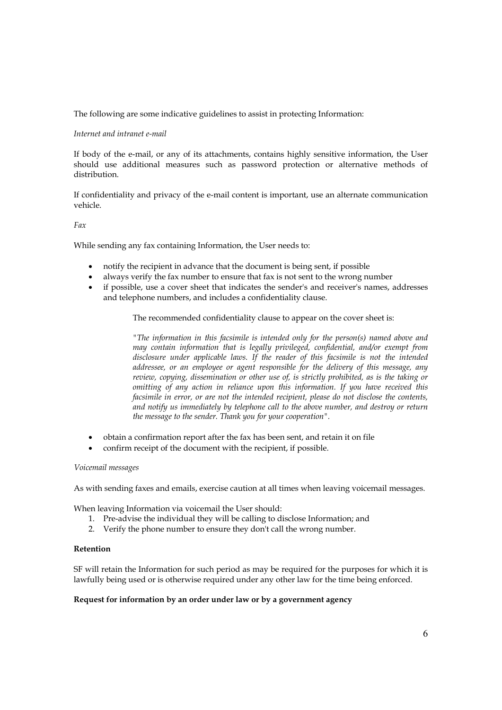The following are some indicative guidelines to assist in protecting Information:

# *Internet and intranet e-mail*

If body of the e-mail, or any of its attachments, contains highly sensitive information, the User should use additional measures such as password protection or alternative methods of distribution.

If confidentiality and privacy of the e-mail content is important, use an alternate communication vehicle.

# *Fax*

While sending any fax containing Information, the User needs to:

- notify the recipient in advance that the document is being sent, if possible
- always verify the fax number to ensure that fax is not sent to the wrong number
- if possible, use a cover sheet that indicates the sender's and receiver's names, addresses and telephone numbers, and includes a confidentiality clause.

The recommended confidentiality clause to appear on the cover sheet is:

*"The information in this facsimile is intended only for the person(s) named above and may contain information that is legally privileged, confidential, and/or exempt from disclosure under applicable laws. If the reader of this facsimile is not the intended addressee, or an employee or agent responsible for the delivery of this message, any review, copying, dissemination or other use of, is strictly prohibited, as is the taking or omitting of any action in reliance upon this information. If you have received this facsimile in error, or are not the intended recipient, please do not disclose the contents, and notify us immediately by telephone call to the above number, and destroy or return the message to the sender. Thank you for your cooperation".* 

- obtain a confirmation report after the fax has been sent, and retain it on file
- confirm receipt of the document with the recipient, if possible.

## *Voicemail messages*

As with sending faxes and emails, exercise caution at all times when leaving voicemail messages.

When leaving Information via voicemail the User should:

- 1. Pre-advise the individual they will be calling to disclose Information; and
- 2. Verify the phone number to ensure they don't call the wrong number.

### **Retention**

SF will retain the Information for such period as may be required for the purposes for which it is lawfully being used or is otherwise required under any other law for the time being enforced.

## **Request for information by an order under law or by a government agency**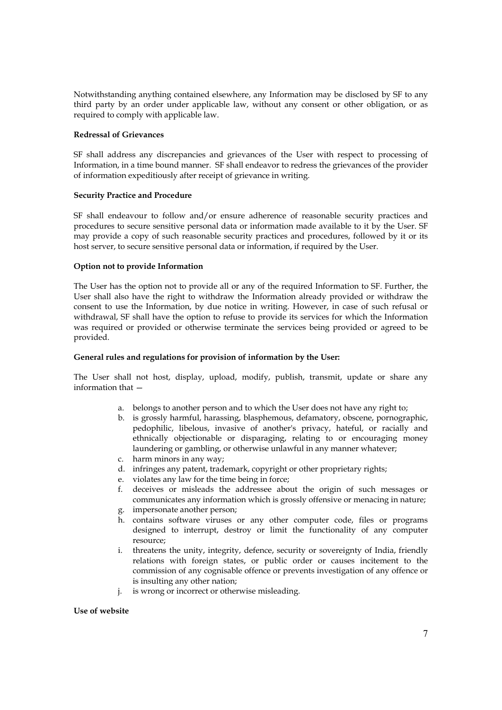Notwithstanding anything contained elsewhere, any Information may be disclosed by SF to any third party by an order under applicable law, without any consent or other obligation, or as required to comply with applicable law.

## **Redressal of Grievances**

SF shall address any discrepancies and grievances of the User with respect to processing of Information, in a time bound manner. SF shall endeavor to redress the grievances of the provider of information expeditiously after receipt of grievance in writing.

### **Security Practice and Procedure**

SF shall endeavour to follow and/or ensure adherence of reasonable security practices and procedures to secure sensitive personal data or information made available to it by the User. SF may provide a copy of such reasonable security practices and procedures, followed by it or its host server, to secure sensitive personal data or information, if required by the User.

### **Option not to provide Information**

The User has the option not to provide all or any of the required Information to SF. Further, the User shall also have the right to withdraw the Information already provided or withdraw the consent to use the Information, by due notice in writing. However, in case of such refusal or withdrawal, SF shall have the option to refuse to provide its services for which the Information was required or provided or otherwise terminate the services being provided or agreed to be provided.

#### **General rules and regulations for provision of information by the User:**

The User shall not host, display, upload, modify, publish, transmit, update or share any information that —

- a. belongs to another person and to which the User does not have any right to;
- b. is grossly harmful, harassing, blasphemous, defamatory, obscene, pornographic, pedophilic, libelous, invasive of another's privacy, hateful, or racially and ethnically objectionable or disparaging, relating to or encouraging money laundering or gambling, or otherwise unlawful in any manner whatever;
- c. harm minors in any way;
- d. infringes any patent, trademark, copyright or other proprietary rights;
- e. violates any law for the time being in force;
- f. deceives or misleads the addressee about the origin of such messages or communicates any information which is grossly offensive or menacing in nature;
- g. impersonate another person;
- h. contains software viruses or any other computer code, files or programs designed to interrupt, destroy or limit the functionality of any computer resource;
- i. threatens the unity, integrity, defence, security or sovereignty of India, friendly relations with foreign states, or public order or causes incitement to the commission of any cognisable offence or prevents investigation of any offence or is insulting any other nation;
- j. is wrong or incorrect or otherwise misleading.

### **Use of website**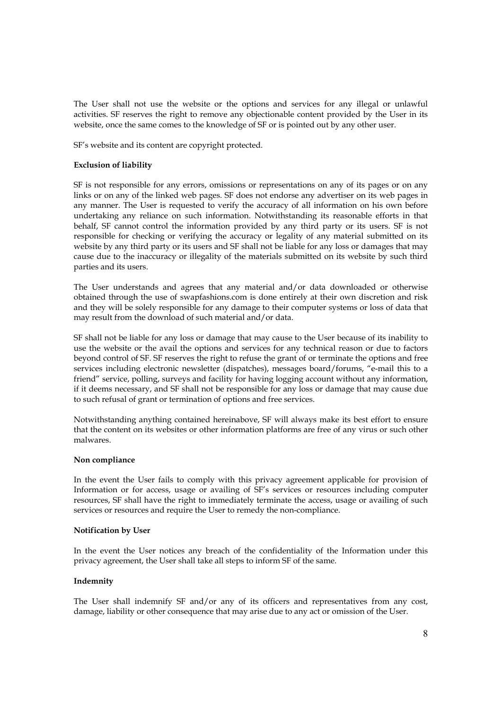The User shall not use the website or the options and services for any illegal or unlawful activities. SF reserves the right to remove any objectionable content provided by the User in its website, once the same comes to the knowledge of SF or is pointed out by any other user.

SF's website and its content are copyright protected.

## **Exclusion of liability**

SF is not responsible for any errors, omissions or representations on any of its pages or on any links or on any of the linked web pages. SF does not endorse any advertiser on its web pages in any manner. The User is requested to verify the accuracy of all information on his own before undertaking any reliance on such information. Notwithstanding its reasonable efforts in that behalf, SF cannot control the information provided by any third party or its users. SF is not responsible for checking or verifying the accuracy or legality of any material submitted on its website by any third party or its users and SF shall not be liable for any loss or damages that may cause due to the inaccuracy or illegality of the materials submitted on its website by such third parties and its users.

The User understands and agrees that any material and/or data downloaded or otherwise obtained through the use of swapfashions.com is done entirely at their own discretion and risk and they will be solely responsible for any damage to their computer systems or loss of data that may result from the download of such material and/or data.

SF shall not be liable for any loss or damage that may cause to the User because of its inability to use the website or the avail the options and services for any technical reason or due to factors beyond control of SF. SF reserves the right to refuse the grant of or terminate the options and free services including electronic newsletter (dispatches), messages board/forums, "e-mail this to a friend" service, polling, surveys and facility for having logging account without any information, if it deems necessary, and SF shall not be responsible for any loss or damage that may cause due to such refusal of grant or termination of options and free services.

Notwithstanding anything contained hereinabove, SF will always make its best effort to ensure that the content on its websites or other information platforms are free of any virus or such other malwares.

## **Non compliance**

In the event the User fails to comply with this privacy agreement applicable for provision of Information or for access, usage or availing of SF's services or resources including computer resources, SF shall have the right to immediately terminate the access, usage or availing of such services or resources and require the User to remedy the non-compliance.

#### **Notification by User**

In the event the User notices any breach of the confidentiality of the Information under this privacy agreement, the User shall take all steps to inform SF of the same.

#### **Indemnity**

The User shall indemnify SF and/or any of its officers and representatives from any cost, damage, liability or other consequence that may arise due to any act or omission of the User.